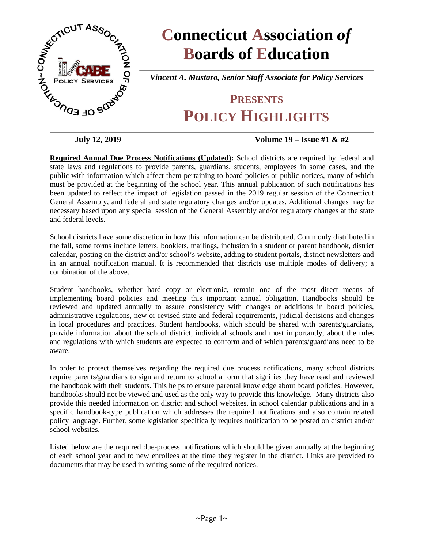

# **Connecticut Association** *of* **Boards of Education**

*Vincent A. Mustaro, Senior Staff Associate for Policy Services*

# **PRESENTS POLICY HIGHLIGHTS**

#### **July 12, 2019 Volume 19 – Issue #1 & #2**

**Required Annual Due Process Notifications (Updated):** School districts are required by federal and state laws and regulations to provide parents, guardians, students, employees in some cases, and the public with information which affect them pertaining to board policies or public notices, many of which must be provided at the beginning of the school year. This annual publication of such notifications has been updated to reflect the impact of legislation passed in the 2019 regular session of the Connecticut General Assembly, and federal and state regulatory changes and/or updates. Additional changes may be necessary based upon any special session of the General Assembly and/or regulatory changes at the state and federal levels.

School districts have some discretion in how this information can be distributed. Commonly distributed in the fall, some forms include letters, booklets, mailings, inclusion in a student or parent handbook, district calendar, posting on the district and/or school's website, adding to student portals, district newsletters and in an annual notification manual. It is recommended that districts use multiple modes of delivery; a combination of the above.

Student handbooks, whether hard copy or electronic, remain one of the most direct means of implementing board policies and meeting this important annual obligation. Handbooks should be reviewed and updated annually to assure consistency with changes or additions in board policies, administrative regulations, new or revised state and federal requirements, judicial decisions and changes in local procedures and practices. Student handbooks, which should be shared with parents/guardians, provide information about the school district, individual schools and most importantly, about the rules and regulations with which students are expected to conform and of which parents/guardians need to be aware.

In order to protect themselves regarding the required due process notifications, many school districts require parents/guardians to sign and return to school a form that signifies they have read and reviewed the handbook with their students. This helps to ensure parental knowledge about board policies. However, handbooks should not be viewed and used as the only way to provide this knowledge. Many districts also provide this needed information on district and school websites, in school calendar publications and in a specific handbook-type publication which addresses the required notifications and also contain related policy language. Further, some legislation specifically requires notification to be posted on district and/or school websites.

Listed below are the required due-process notifications which should be given annually at the beginning of each school year and to new enrollees at the time they register in the district. Links are provided to documents that may be used in writing some of the required notices.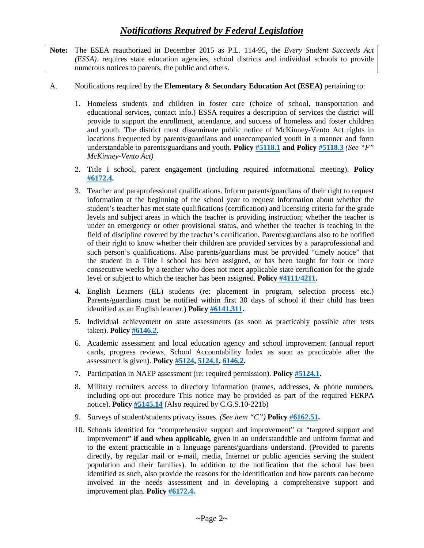**Note:** The ESEA reauthorized in December 2015 as P.L. 114-95, the *Every Student Succeeds Act (ESSA).* requires state education agencies, school districts and individual schools to provide numerous notices to parents, the public and others.

#### A. Notifications required by the **Elementary & Secondary Education Act (ESEA)** pertaining to:

- 1. Homeless students and children in foster care (choice of school, transportation and educational services, contact info.) ESSA requires a description of services the district will provide to support the enrollment, attendance, and success of homeless and foster children and youth. The district must disseminate public notice of McKinney-Vento Act rights in locations frequented by parents/guardians and unaccompanied youth in a manner and form understandable to parents/guardians and youth. **Policy [#5118.1](https://www.cabe.org/uploaded/members/Policy/Due_Process/Cps5118.1.doc?1566570582236) and Policy [#5118.3](https://www.cabe.org/uploaded/members/Policy/Due_Process/Cps5118.3.doc?1566570582236)** *(See "F" McKinney-Vento Act)*
- 2. Title I school, parent engagement (including required informational meeting). **Policy [#6172.4.](https://www.cabe.org/uploaded/members/Policy/Due_Process/Cps6172.4.doc?1566570582236)**
- 3. Teacher and paraprofessional qualifications. Inform parents/guardians of their right to request information at the beginning of the school year to request information about whether the student's teacher has met state qualifications (certification) and licensing criteria for the grade levels and subject areas in which the teacher is providing instruction; whether the teacher is under an emergency or other provisional status, and whether the teacher is teaching in the field of discipline covered by the teacher's certification. Parents/guardians also to be notified of their right to know whether their children are provided services by a paraprofessional and such person's qualifications. Also parents/guardians must be provided "timely notice" that the student in a Title I school has been assigned, or has been taught for four or more consecutive weeks by a teacher who does not meet applicable state certification for the grade level or subject to which the teacher has been assigned. **Policy [#4111/4211.](https://www.cabe.org/uploaded/members/Policy/Due_Process/Cps4111.doc?1566570582236)**
- 4. English Learners (EL) students (re: placement in program, selection process etc.) Parents/guardians must be notified within first 30 days of school if their child has been identified as an English learner.) **Policy [#6141.311.](https://www.cabe.org/uploaded/members/Policy/Due_Process/Cps6141.311.doc?1566570582236)**
- 5. Individual achievement on state assessments (as soon as practicably possible after tests taken). **Policy [#6146.2.](https://www.cabe.org/uploaded/members/Policy/Due_Process/Cps6146.2.doc?1566570582236)**
- 6. Academic assessment and local education agency and school improvement (annual report cards, progress reviews, School Accountability Index as soon as practicable after the assessment is given). **Policy [#5124,](https://www.cabe.org/uploaded/members/Policy/Due_Process/Cps5124.doc?1566570582236) [5124.1,](https://www.cabe.org/uploaded/members/Policy/Due_Process/Cps5124.1.doc?1566570582236) [6146.2.](https://www.cabe.org/uploaded/members/Policy/Due_Process/Cps6146.2.doc?1566570582236)**
- 7. Participation in NAEP assessment (re: required permission). **Polic[y #5124.1.](https://www.cabe.org/uploaded/members/Policy/Due_Process/Cps5124.1.doc?1566570582236)**
- 8. Military recruiters access to directory information (names, addresses, & phone numbers, including opt-out procedure This notice may be provided as part of the required FERPA notice). **Policy [#5145.14](https://www.cabe.org/uploaded/members/Policy/Due_Process/Cps5145.14.doc?1566570582236)** (Also required by C.G.S.10-221b)
- 9. Surveys of student/students privacy issues. *(See item "C")* **Policy [#6162.51.](https://www.cabe.org/uploaded/members/Policy/Due_Process/Cps6162.51.doc?1566570582236)**
- 10. Schools identified for "comprehensive support and improvement" or "targeted support and improvement" **if and when applicable,** given in an understandable and uniform format and to the extent practicable in a language parents/guardians understand. (Provided to parents directly, by regular mail or e-mail, media, Internet or public agencies serving the student population and their families). In addition to the notification that the school has been identified as such, also provide the reasons for the identification and how parents can become involved in the needs assessment and in developing a comprehensive support and improvement plan. **Policy [#6172.4.](https://www.cabe.org/uploaded/members/Policy/Due_Process/Cps6172.4.doc?1566570582236)**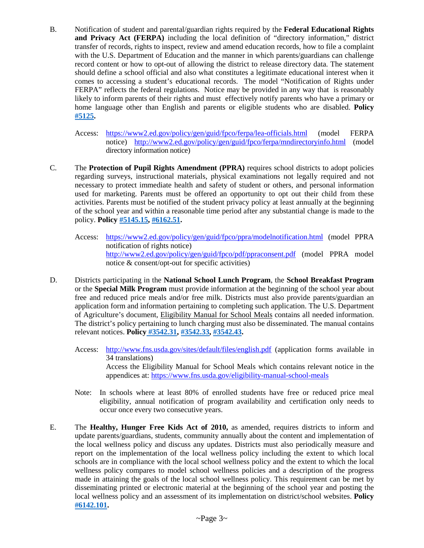- B. Notification of student and parental/guardian rights required by the **Federal Educational Rights and Privacy Act (FERPA)** including the local definition of "directory information," district transfer of records, rights to inspect, review and amend education records, how to file a complaint with the U.S. Department of Education and the manner in which parents/guardians can challenge record content or how to opt-out of allowing the district to release directory data. The statement should define a school official and also what constitutes a legitimate educational interest when it comes to accessing a student's educational records. The model "Notification of Rights under FERPA" reflects the federal regulations. Notice may be provided in any way that is reasonably likely to inform parents of their rights and must effectively notify parents who have a primary or home language other than English and parents or eligible students who are disabled. **Policy [#5125.](https://www.cabe.org/uploaded/members/Policy/Due_Process/Cps5125.doc?1566570582236)**
	- Access: <https://www2.ed.gov/policy/gen/guid/fpco/ferpa/lea-officials.html> (model FERPA notice) <http://www2.ed.gov/policy/gen/guid/fpco/ferpa/mndirectoryinfo.html> (model directory information notice)
- C. The **Protection of Pupil Rights Amendment (PPRA)** requires school districts to adopt policies regarding surveys, instructional materials, physical examinations not legally required and not necessary to protect immediate health and safety of student or others, and personal information used for marketing. Parents must be offered an opportunity to opt out their child from these activities. Parents must be notified of the student privacy policy at least annually at the beginning of the school year and within a reasonable time period after any substantial change is made to the policy. **Policy [#5145.15,](https://www.cabe.org/uploaded/members/Policy/Due_Process/Cps5145.15.doc?1566570582236) [#6162.51.](https://www.cabe.org/uploaded/members/Policy/Due_Process/Cps6162.51.doc?1566570582236)**
	- Access: <https://www2.ed.gov/policy/gen/guid/fpco/ppra/modelnotification.html> (model PPRA notification of rights notice) <http://www2.ed.gov/policy/gen/guid/fpco/pdf/ppraconsent.pdf> (model PPRA model notice & consent/opt-out for specific activities)
- D. Districts participating in the **National School Lunch Program**, the **School Breakfast Program** or the **Special Milk Program** must provide information at the beginning of the school year about free and reduced price meals and/or free milk. Districts must also provide parents/guardian an application form and information pertaining to completing such application. The U.S. Department of Agriculture's document, Eligibility Manual for School Meals contains all needed information. The district's policy pertaining to lunch charging must also be disseminated. The manual contains relevant notices. **Policy [#3542.31,](https://www.cabe.org/uploaded/members/Policy/Due_Process/Cps3542.31.doc?1566570582236) [#3542.33,](https://www.cabe.org/uploaded/members/Policy/Due_Process/Cps3542.33.doc?1566570582236) [#3542.43.](https://www.cabe.org/uploaded/members/Policy/Due_Process/Cps3542.43.doc?1566570582236)**
	- Access: <http://www.fns.usda.gov/sites/default/files/english.pdf> (application forms available in 34 translations) Access the Eligibility Manual for School Meals which contains relevant notice in the appendices at:<https://www.fns.usda.gov/eligibility-manual-school-meals>
	- Note: In schools where at least 80% of enrolled students have free or reduced price meal eligibility, annual notification of program availability and certification only needs to occur once every two consecutive years.
- E. The **Healthy, Hunger Free Kids Act of 2010,** as amended, requires districts to inform and update parents/guardians, students, community annually about the content and implementation of the local wellness policy and discuss any updates. Districts must also periodically measure and report on the implementation of the local wellness policy including the extent to which local schools are in compliance with the local school wellness policy and the extent to which the local wellness policy compares to model school wellness policies and a description of the progress made in attaining the goals of the local school wellness policy. This requirement can be met by disseminating printed or electronic material at the beginning of the school year and posting the local wellness policy and an assessment of its implementation on district/school websites. **Policy [#6142.101.](https://www.cabe.org/uploaded/members/Policy/Due_Process/Cps6142.101.doc?1566570582236)**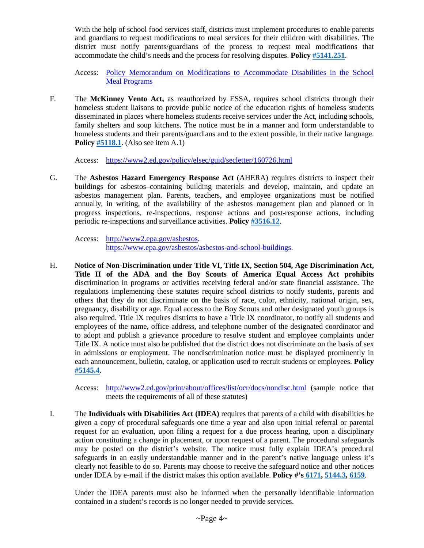With the help of school food services staff, districts must implement procedures to enable parents and guardians to request modifications to meal services for their children with disabilities. The district must notify parents/guardians of the process to request meal modifications that accommodate the child's needs and the process for resolving disputes. **Policy [#5141.251](https://www.cabe.org/uploaded/members/Policy/Due_Process/Cps5141.251.doc?1566570582236)**.

Access: Policy Memorandum on Modifications to [Accommodate](https://fns-prod.azureedge.net/sites/default/files/cn/SP59-2016os.pdf) Disabilities in the School Meal [Programs](https://fns-prod.azureedge.net/sites/default/files/cn/SP59-2016os.pdf)

F. The **McKinney Vento Act,** as reauthorized by ESSA, requires school districts through their homeless student liaisons to provide public notice of the education rights of homeless students disseminated in places where homeless students receive services under the Act, including schools, family shelters and soup kitchens. The notice must be in a manner and form understandable to homeless students and their parents/guardians and to the extent possible, in their native language. **Policy [#5118.1](https://www.cabe.org/uploaded/members/Policy/Due_Process/Cps5118.1.doc?1566570582236)**. (Also see item A.1)

Access: <https://www2.ed.gov/policy/elsec/guid/secletter/160726.html>

G. The **Asbestos Hazard Emergency Response Act** (AHERA) requires districts to inspect their buildings for asbestos–containing building materials and develop, maintain, and update an asbestos management plan. Parents, teachers, and employee organizations must be notified annually, in writing, of the availability of the asbestos management plan and planned or in progress inspections, re-inspections, response actions and post-response actions, including periodic re-inspections and surveillance activities. **Policy [#3516.12](https://www.cabe.org/uploaded/members/Policy/Due_Process/Cps3516.12.doc?1566570582236)**.

Access: [http://www2.epa.gov/asbestos.](http://www2.epa.gov/asbestos) [https://www.epa.gov/asbestos/asbestos-and-school-buildings.](https://www.epa.gov/asbestos/asbestos-and-school-buildings)

- H. **Notice of Non-Discrimination under Title VI, Title IX, Section 504, Age Discrimination Act, Title II of the ADA and the Boy Scouts of America Equal Access Act prohibits** discrimination in programs or activities receiving federal and/or state financial assistance. The regulations implementing these statutes require school districts to notify students, parents and others that they do not discriminate on the basis of race, color, ethnicity, national origin, sex, pregnancy, disability or age. Equal access to the Boy Scouts and other designated youth groups is also required. Title IX requires districts to have a Title IX coordinator, to notify all students and employees of the name, office address, and telephone number of the designated coordinator and to adopt and publish a grievance procedure to resolve student and employee complaints under Title IX. A notice must also be published that the district does not discriminate on the basis of sex in admissions or employment. The nondiscrimination notice must be displayed prominently in each announcement, bulletin, catalog, or application used to recruit students or employees. **Policy [#5145.4](https://www.cabe.org/uploaded/members/Policy/Due_Process/Cps5145.4.doc?1566570582236)**.
	- Access: <http://www2.ed.gov/print/about/offices/list/ocr/docs/nondisc.html> (sample notice that meets the requirements of all of these statutes)
- I. The **Individuals with Disabilities Act (IDEA)** requires that parents of a child with disabilities be given a copy of procedural safeguards one time a year and also upon initial referral or parental request for an evaluation, upon filing a request for a due process hearing, upon a disciplinary action constituting a change in placement, or upon request of a parent. The procedural safeguards may be posted on the district's website. The notice must fully explain IDEA's procedural safeguards in an easily understandable manner and in the parent's native language unless it's clearly not feasible to do so. Parents may choose to receive the safeguard notice and other notices under IDEA by e-mail if the district makes this option available. **Policy #'s [6171,](https://www.cabe.org/uploaded/members/Policy/Due_Process/Cps6171.doc?1566570582236) [5144.3,](https://www.cabe.org/uploaded/members/Policy/Due_Process/Cps5144.3.doc?1566570582236) [6159](https://www.cabe.org/uploaded/members/Policy/Due_Process/Cps6159.doc?1566570582236)**.

Under the IDEA parents must also be informed when the personally identifiable information contained in a student's records is no longer needed to provide services.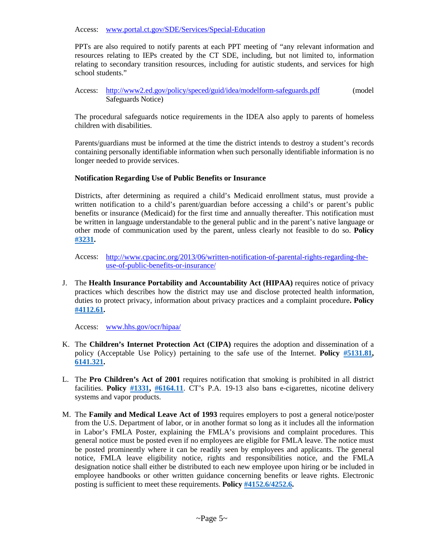Access: [www.portal.ct.gov/SDE/Services/Special-Education](http://www.portal.ct.gov/SDE/Services/Special-Education)

PPTs are also required to notify parents at each PPT meeting of "any relevant information and resources relating to IEPs created by the CT SDE, including, but not limited to, information relating to secondary transition resources, including for autistic students, and services for high school students."

Access: <http://www2.ed.gov/policy/speced/guid/idea/modelform-safeguards.pdf> (model Safeguards Notice)

The procedural safeguards notice requirements in the IDEA also apply to parents of homeless children with disabilities.

Parents/guardians must be informed at the time the district intends to destroy a student's records containing personally identifiable information when such personally identifiable information is no longer needed to provide services.

#### **Notification Regarding Use of Public Benefits or Insurance**

Districts, after determining as required a child's Medicaid enrollment status, must provide a written notification to a child's parent/guardian before accessing a child's or parent's public benefits or insurance (Medicaid) for the first time and annually thereafter. This notification must be written in language understandable to the general public and in the parent's native language or other mode of communication used by the parent, unless clearly not feasible to do so. **Policy [#3231.](https://www.cabe.org/uploaded/members/Policy/Due_Process/Cps3231.doc?1566570582236)**

Access: [http://www.cpacinc.org/2013/06/written-notification-of-parental-rights-regarding-the](http://www.cpacinc.org/2013/06/written-notification-of-parental-rights-regarding-the-use-of-public-benefits-or-insurance/)[use-of-public-benefits-or-insurance/](http://www.cpacinc.org/2013/06/written-notification-of-parental-rights-regarding-the-use-of-public-benefits-or-insurance/)

J. The **Health Insurance Portability and Accountability Act (HIPAA)** requires notice of privacy practices which describes how the district may use and disclose protected health information, duties to protect privacy, information about privacy practices and a complaint procedure**. Policy [#4112.61.](https://www.cabe.org/uploaded/members/Policy/Due_Process/Cps4112.61.doc?1566570582236)**

Access: [www.hhs.gov/ocr/hipaa/](http://www.hhs.gov/ocr/hipaa/)

- K. The **Children's Internet Protection Act (CIPA)** requires the adoption and dissemination of a policy (Acceptable Use Policy) pertaining to the safe use of the Internet. **Policy [#5131.81,](https://www.cabe.org/uploaded/members/Policy/Due_Process/Cps5131.81.doc?1566570582236)  [6141.321.](https://www.cabe.org/uploaded/members/Policy/Due_Process/Cps6141.321.doc?1566570582236)**
- L. The **Pro Children's Act of 2001** requires notification that smoking is prohibited in all district facilities. **Policy [#1331,](https://www.cabe.org/uploaded/members/Policy/Due_Process/Cps1331.doc?1566570582236) [#6164.11](https://www.cabe.org/uploaded/members/Policy/Due_Process/Cps6164.11.doc?1566570582236)**. CT's P.A. 19-13 also bans e-cigarettes, nicotine delivery systems and vapor products.
- M. The **Family and Medical Leave Act of 1993** requires employers to post a general notice/poster from the U.S. Department of labor, or in another format so long as it includes all the information in Labor's FMLA Poster, explaining the FMLA's provisions and complaint procedures. This general notice must be posted even if no employees are eligible for FMLA leave. The notice must be posted prominently where it can be readily seen by employees and applicants. The general notice, FMLA leave eligibility notice, rights and responsibilities notice, and the FMLA designation notice shall either be distributed to each new employee upon hiring or be included in employee handbooks or other written guidance concerning benefits or leave rights. Electronic posting is sufficient to meet these requirements. **Polic[y #4152.6/4252.6.](https://www.cabe.org/uploaded/members/Policy/Due_Process/Cps4152.6.doc?1566570582236)**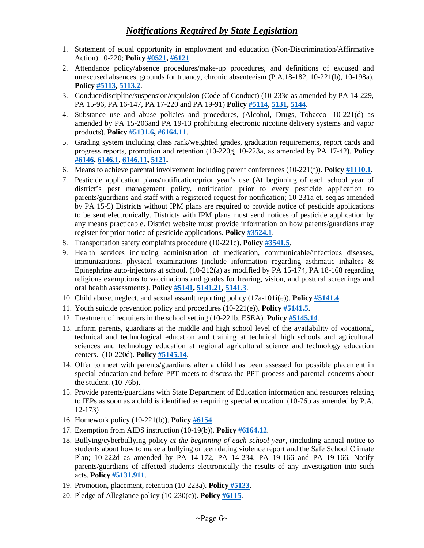## *Notifications Required by State Legislation*

- 1. Statement of equal opportunity in employment and education (Non-Discrimination/Affirmative Action) 10-220; **Policy [#0521,](https://www.cabe.org/uploaded/members/Policy/Due_Process/Cps0521.doc?1566570582236) [#6121](https://www.cabe.org/uploaded/members/Policy/Due_Process/Cps6121.doc?1566570582236)**.
- 2. Attendance policy/absence procedures/make-up procedures, and definitions of excused and unexcused absences, grounds for truancy, chronic absenteeism (P.A.18-182, 10-221(b), 10-198a). **Policy [#5113,](https://www.cabe.org/uploaded/members/Policy/Due_Process/Cps5113.doc?1566570582236) [5113.2](https://www.cabe.org/uploaded/members/Policy/Due_Process/Cps5113.2.doc?1566570582236)**.
- 3. Conduct/discipline/suspension/expulsion (Code of Conduct) (10-233e as amended by PA 14-229, PA 15-96, PA 16-147, PA 17-220 and PA 19-91) **Policy [#5114,](https://www.cabe.org/uploaded/members/Policy/Due_Process/Cps5114.doc?1566570582236) [5131,](https://www.cabe.org/uploaded/members/Policy/Due_Process/Cps5131.doc?1566570582236) [5144](https://www.cabe.org/uploaded/members/Policy/Due_Process/Cps5144.doc?1566570582236)**.
- 4. Substance use and abuse policies and procedures, (Alcohol, Drugs, Tobacco- 10-221(d) as amended by PA 15-206and PA 19-13 prohibiting electronic nicotine delivery systems and vapor products). **Policy [#5131.6,](https://www.cabe.org/uploaded/members/Policy/Due_Process/Cps5131.6.doc?1566570582236) [#6164.11](https://www.cabe.org/uploaded/members/Policy/Due_Process/Cps6164.11.doc?1566570582236)**.
- 5. Grading system including class rank/weighted grades, graduation requirements, report cards and progress reports, promotion and retention (10-220g, 10-223a, as amended by PA 17-42). **Policy [#6146,](https://www.cabe.org/uploaded/members/Policy/Due_Process/Cps6146.doc?1566570582236) [6146.1,](https://www.cabe.org/uploaded/members/Policy/Due_Process/Cps6146.1.doc?1566570582236) [6146.11,](https://www.cabe.org/uploaded/members/Policy/Due_Process/Cps6146.11.doc?1566570582236) [5121.](https://www.cabe.org/uploaded/members/Policy/Due_Process/Cps5121.doc?1566570582236)**
- 6. Means to achieve parental involvement including parent conferences (10-221(f)). **Policy [#1110.1.](https://www.cabe.org/uploaded/members/Policy/Due_Process/Cps1110.1.doc?1566570582236)**
- 7. Pesticide application plans/notification/prior year's use (At beginning of each school year of district's pest management policy, notification prior to every pesticide application to parents/guardians and staff with a registered request for notification; 10-231a et. seq.as amended by PA 15-5) Districts without IPM plans are required to provide notice of pesticide applications to be sent electronically. Districts with IPM plans must send notices of pesticide application by any means practicable. District website must provide information on how parents/guardians may register for prior notice of pesticide applications. **Policy [#3524.1](https://www.cabe.org/uploaded/members/Policy/Due_Process/Cps3524.1.doc?1566570582236)**.
- 8. Transportation safety complaints procedure (10-221c). **Policy [#3541.5](https://www.cabe.org/uploaded/members/Policy/Due_Process/Cps3541.5.doc?1566570582236)**.
- 9. Health services including administration of medication, communicable/infectious diseases, immunizations, physical examinations (include information regarding asthmatic inhalers & Epinephrine auto-injectors at school. (10-212(a) as modified by PA 15-174, PA 18-168 regarding religious exemptions to vaccinations and grades for hearing, vision, and postural screenings and oral health assessments). **Policy [#5141,](https://www.cabe.org/uploaded/members/Policy/Due_Process/Cps5141.doc?1566570582236) [5141.21,](https://www.cabe.org/uploaded/members/Policy/Due_Process/Cps5141.21.doc?1566570582236) [5141.3](https://www.cabe.org/uploaded/members/Policy/Due_Process/Cps5141.3.doc?1566570582236)**.
- 10. Child abuse, neglect, and sexual assault reporting policy (17a-101i(e)). **Policy [#5141.4](https://www.cabe.org/uploaded/members/Policy/Due_Process/Cps5141.4.doc?1566570582236)**.
- 11. Youth suicide prevention policy and procedures (10-221(e)). **Policy [#5141.5](https://www.cabe.org/uploaded/members/Policy/Due_Process/Cps5141.5.doc?1566570582236)**.
- 12. Treatment of recruiters in the school setting (10-221b, ESEA). **Policy [#5145.14](https://www.cabe.org/uploaded/members/Policy/Due_Process/Cps5145.14.doc?1566570582236)**.
- 13. Inform parents, guardians at the middle and high school level of the availability of vocational, technical and technological education and training at technical high schools and agricultural sciences and technology education at regional agricultural science and technology education centers. (10-220d). **Policy [#5145.14](https://www.cabe.org/uploaded/members/Policy/Due_Process/Cps5145.14.doc?1566570582236)**.
- 14. Offer to meet with parents/guardians after a child has been assessed for possible placement in special education and before PPT meets to discuss the PPT process and parental concerns about the student. (10-76b).
- 15. Provide parents/guardians with State Department of Education information and resources relating to IEPs as soon as a child is identified as requiring special education. (10-76b as amended by P.A. 12-173)
- 16. Homework policy (10-221(b)). **Policy [#6154](https://www.cabe.org/uploaded/members/Policy/Due_Process/Cps6154.doc?1566570582236)**.
- 17. Exemption from AIDS instruction (10-19(b)). **Policy [#6164.12](https://www.cabe.org/uploaded/members/Policy/Due_Process/Cps6164.12.doc?1566570582236)**.
- 18. Bullying/cyberbullying policy *at the beginning of each school year,* (including annual notice to students about how to make a bullying or teen dating violence report and the Safe School Climate Plan; 10-222d as amended by PA 14-172, PA 14-234, PA 19-166 and PA 19-166. Notify parents/guardians of affected students electronically the results of any investigation into such acts. **Policy [#5131.911](https://www.cabe.org/uploaded/members/Policy/Due_Process/Cps5131.911.doc?1566570582236)**.
- 19. Promotion, placement, retention (10-223a). **Policy [#5123](https://www.cabe.org/uploaded/members/Policy/Due_Process/Cps5123.doc?1566570582236)**.
- 20. Pledge of Allegiance policy (10-230(c)). **Policy [#6115](https://www.cabe.org/uploaded/members/Policy/Due_Process/Cps6115.doc?1566570582236)**.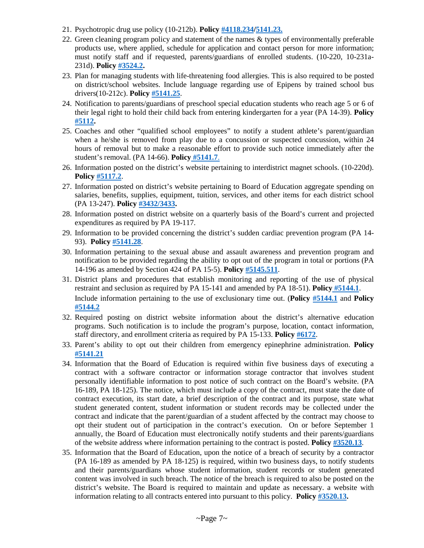- 21. Psychotropic drug use policy (10-212b). **Polic[y #4118.234](https://www.cabe.org/uploaded/members/Policy/Due_Process/Cps4118.234.doc?1566570582236)[/5141.23.](https://www.cabe.org/uploaded/members/Policy/Due_Process/Cps5141.23.doc?1566570582236)**
- 22. Green cleaning program policy and statement of the names & types of environmentally preferable products use, where applied, schedule for application and contact person for more information; must notify staff and if requested, parents/guardians of enrolled students. (10-220, 10-231a-231d). **Policy [#3524.2.](https://www.cabe.org/uploaded/members/Policy/Due_Process/Cps3524.2.doc?1566570582236)**
- 23. Plan for managing students with life-threatening food allergies. This is also required to be posted on district/school websites. Include language regarding use of Epipens by trained school bus drivers(10-212c). **Policy [#5141.25](https://www.cabe.org/uploaded/members/Policy/Due_Process/Cps5141.25.doc?1566570582236)**.
- 24. Notification to parents/guardians of preschool special education students who reach age 5 or 6 of their legal right to hold their child back from entering kindergarten for a year (PA 14-39). **Policy [#5112.](https://www.cabe.org/uploaded/members/Policy/Due_Process/Cps5112.doc?1566570582236)**
- 25. Coaches and other "qualified school employees" to notify a student athlete's parent/guardian when a he/she is removed from play due to a concussion or suspected concussion, within 24 hours of removal but to make a reasonable effort to provide such notice immediately after the student's removal. (PA 14-66). **Policy [#5141.7](https://www.cabe.org/uploaded/members/Policy/Due_Process/Cps5141.7.doc?1566570582236)**.
- 26. Information posted on the district's website pertaining to interdistrict magnet schools. (10-220d). **Policy [#5117.2](https://www.cabe.org/uploaded/members/Policy/Due_Process/Cps5117.2.doc?1566570582236)**.
- 27. Information posted on district's website pertaining to Board of Education aggregate spending on salaries, benefits, supplies, equipment, tuition, services, and other items for each district school (PA 13-247). **Policy [#3432/3433.](https://www.cabe.org/uploaded/members/Policy/Due_Process/Cps3432.doc?1566570582236)**
- 28. Information posted on district website on a quarterly basis of the Board's current and projected expenditures as required by PA 19-117.
- 29. Information to be provided concerning the district's sudden cardiac prevention program (PA 14- 93). **Policy [#5141.28](https://www.cabe.org/uploaded/members/Policy/Due_Process/Cps5141.28.doc?1566570582236)**.
- 30. Information pertaining to the sexual abuse and assault awareness and prevention program and notification to be provided regarding the ability to opt out of the program in total or portions (PA 14-196 as amended by Section 424 of PA 15-5). **Policy [#5145.511](https://www.cabe.org/uploaded/members/Policy/Due_Process/Cps5145.511.doc?1566570582236)**.
- 31. District plans and procedures that establish monitoring and reporting of the use of physical restraint and seclusion as required by PA 15-141 and amended by PA 18-51). **Policy [#5144.1](https://www.cabe.org/uploaded/members/Policy/Due_Process/Cps5144.1.doc?1566570582236)**. Include information pertaining to the use of exclusionary time out. (**Policy [#5144.1](https://www.cabe.org/uploaded/members/Policy/Due_Process/Cps5144.1.doc?1566570582236)** and **Policy [#5144.2](https://www.cabe.org/uploaded/members/Policy/Due_Process/Cps5144.2.doc?1566570582236)**
- 32. Required posting on district website information about the district's alternative education programs. Such notification is to include the program's purpose, location, contact information, staff directory, and enrollment criteria as required by PA 15-133. **Policy [#6172](https://www.cabe.org/uploaded/members/Policy/Due_Process/Cps6172.doc?1566570582236)**.
- 33. Parent's ability to opt out their children from emergency epinephrine administration. **Policy [#5141.21](https://www.cabe.org/uploaded/members/Policy/Due_Process/Cps5141.21.doc?1566570582236)**
- 34. Information that the Board of Education is required within five business days of executing a contract with a software contractor or information storage contractor that involves student personally identifiable information to post notice of such contract on the Board's website. (PA 16-189, PA 18-125). The notice, which must include a copy of the contract, must state the date of contract execution, its start date, a brief description of the contract and its purpose, state what student generated content, student information or student records may be collected under the contract and indicate that the parent/guardian of a student affected by the contract may choose to opt their student out of participation in the contract's execution. On or before September 1 annually, the Board of Education must electronically notify students and their parents/guardians of the website address where information pertaining to the contract is posted. **Policy [#3520.13](https://www.cabe.org/uploaded/members/Policy/Due_Process/Cps3520.13.doc?1566570582236)**.
- 35. Information that the Board of Education, upon the notice of a breach of security by a contractor (PA 16-189 as amended by PA 18-125) is required, within two business days, to notify students and their parents/guardians whose student information, student records or student generated content was involved in such breach. The notice of the breach is required to also be posted on the district's website. The Board is required to maintain and update as necessary. a website with information relating to all contracts entered into pursuant to this policy. **Policy [#3520.13.](https://www.cabe.org/uploaded/members/Policy/Due_Process/Cps3520.13.doc?1566570582236)**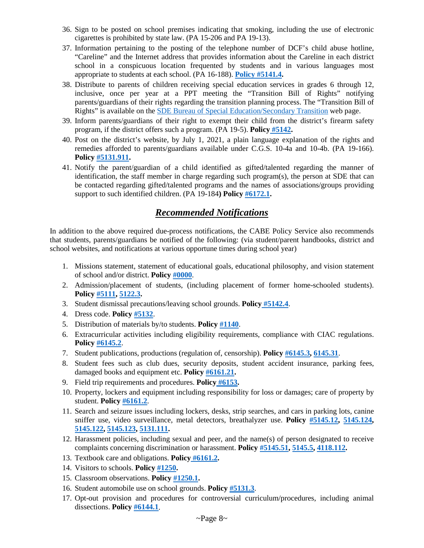- 36. Sign to be posted on school premises indicating that smoking, including the use of electronic cigarettes is prohibited by state law. (PA 15-206 and PA 19-13).
- 37. Information pertaining to the posting of the telephone number of DCF's child abuse hotline, "Careline" and the Internet address that provides information about the Careline in each district school in a conspicuous location frequented by students and in various languages most appropriate to students at each school. (PA 16-188). **[Policy #5141.4.](https://www.cabe.org/uploaded/members/Policy/Due_Process/Cps5141.4.doc?1566570582236)**
- 38. Distribute to parents of children receiving special education services in grades 6 through 12, inclusive, once per year at a PPT meeting the "Transition Bill of Rights" notifying parents/guardians of their rights regarding the transition planning process. The "Transition Bill of Rights" is available on the [SDE Bureau of Special Education/Secondary Transition](https://portal.ct.gov/SDE/Special-Education/Secondary-Transition-Resources-for-Special-Education-Students) web page.
- 39. Inform parents/guardians of their right to exempt their child from the district's firearm safety program, if the district offers such a program. (PA 19-5). **Policy [#5142.](https://www.cabe.org/uploaded/members/Policy/Due_Process/Cps5142.doc?1566570582236)**
- 40. Post on the district's website, by July 1, 2021, a plain language explanation of the rights and remedies afforded to parents/guardians available under C.G.S. 10-4a and 10-4b. (PA 19-166). **Policy [#5131.911.](https://www.cabe.org/uploaded/members/Policy/Due_Process/Cps5131.911.doc?1566570582236)**
- 41. Notify the parent/guardian of a child identified as gifted/talented regarding the manner of identification, the staff member in charge regarding such program(s), the person at SDE that can be contacted regarding gifted/talented programs and the names of associations/groups providing support to such identified children. (PA 19-184**) Policy [#6172.1.](https://www.cabe.org/uploaded/members/Policy/Due_Process/Cps6172.1.doc?1566570582236)**

### *Recommended Notifications*

In addition to the above required due-process notifications, the CABE Policy Service also recommends that students, parents/guardians be notified of the following: (via student/parent handbooks, district and school websites, and notifications at various opportune times during school year)

- 1. Missions statement, statement of educational goals, educational philosophy, and vision statement of school and/or district. **Polic[y #0000](https://www.cabe.org/uploaded/members/Policy/Due_Process/Cps0000.doc?1566570582236)**.
- 2. Admission/placement of students, (including placement of former home-schooled students). **Policy [#5111,](https://www.cabe.org/uploaded/members/Policy/Due_Process/Cps5111.doc?1566570582236) [5122.3.](https://www.cabe.org/uploaded/members/Policy/Due_Process/Cps5122.3.doc?1566570582236)**
- 3. Student dismissal precautions/leaving school grounds. **Policy [#5142.4](https://www.cabe.org/uploaded/members/Policy/Due_Process/Cps5142.4.doc?1566570582236)**.
- 4. Dress code. **Policy [#5132](https://www.cabe.org/uploaded/members/Policy/Due_Process/Cps5132.doc?1566570582236)**.
- 5. Distribution of materials by/to students. **Policy [#1140](https://www.cabe.org/uploaded/members/Policy/Due_Process/Cps1140.doc?1566570582236)**.
- 6. Extracurricular activities including eligibility requirements, compliance with CIAC regulations. **Policy [#6145.2](https://www.cabe.org/uploaded/members/Policy/Due_Process/Cps6145.2.doc?1566570582236)**.
- 7. Student publications, productions (regulation of, censorship). **Polic[y #6145.3,](https://www.cabe.org/uploaded/members/Policy/Due_Process/Cps6145.3.doc?1566570582236) [6145.31](https://www.cabe.org/uploaded/members/Policy/Due_Process/Cps6145.31.doc?1566570582236)**.
- 8. Student fees such as club dues, security deposits, student accident insurance, parking fees, damaged books and equipment etc. **Policy [#6161.21.](https://www.cabe.org/uploaded/members/Policy/Due_Process/Cps6161.21.doc?1566570582236)**
- 9. Field trip requirements and procedures. **Policy [#6153.](https://www.cabe.org/uploaded/members/Policy/Due_Process/Cps6153.doc?1566570582236)**
- 10. Property, lockers and equipment including responsibility for loss or damages; care of property by student. **Polic[y #6161.2](https://www.cabe.org/uploaded/members/Policy/Due_Process/Cps6161.2.doc?1566570582236)**.
- 11. Search and seizure issues including lockers, desks, strip searches, and cars in parking lots, canine sniffer use, video surveillance, metal detectors, breathalyzer use. **Policy [#5145.12,](https://www.cabe.org/uploaded/members/Policy/Due_Process/Cps5145.12.doc?1566570582236) [5145.124,](https://www.cabe.org/uploaded/members/Policy/Due_Process/Cps5145.124.doc?1566570582236)  [5145.122,](https://www.cabe.org/uploaded/members/Policy/Due_Process/Cps5145.122.doc?1566570582236) [5145.123,](https://www.cabe.org/uploaded/members/Policy/Due_Process/Cps5145.123.doc?1566570582236) [5131.111.](https://www.cabe.org/uploaded/members/Policy/Due_Process/Cps5131.111.doc?1566570582236)**
- 12. Harassment policies, including sexual and peer, and the name(s) of person designated to receive complaints concerning discrimination or harassment. **Policy [#5145.51,](https://www.cabe.org/uploaded/members/Policy/Due_Process/Cps5145.51.doc?1566570582236) [5145.5,](https://www.cabe.org/uploaded/members/Policy/Due_Process/Cps5145.5.doc?1566570582236) [4118.112.](https://www.cabe.org/uploaded/members/Policy/Due_Process/Cps4118.112.doc?1566570582236)**
- 13. Textbook care and obligations. **Policy [#6161.2.](https://www.cabe.org/uploaded/members/Policy/Due_Process/Cps6161.2.doc?1566570582236)**
- 14. Visitors to schools. **Policy [#1250.](https://www.cabe.org/uploaded/members/Policy/Due_Process/Cps1250.doc?1566570582236)**
- 15. Classroom observations. **Policy [#1250.1.](https://www.cabe.org/uploaded/members/Policy/Due_Process/Cps1250.1.doc?1566570582236)**
- 16. Student automobile use on school grounds. **Polic[y #5131.3](https://www.cabe.org/uploaded/members/Policy/Due_Process/Cps5131.3.doc?1566570582236)**.
- 17. Opt-out provision and procedures for controversial curriculum/procedures, including animal dissections. **Policy [#6144.1](https://www.cabe.org/uploaded/members/Policy/Due_Process/Cps6144.1.doc?1566570582236)**.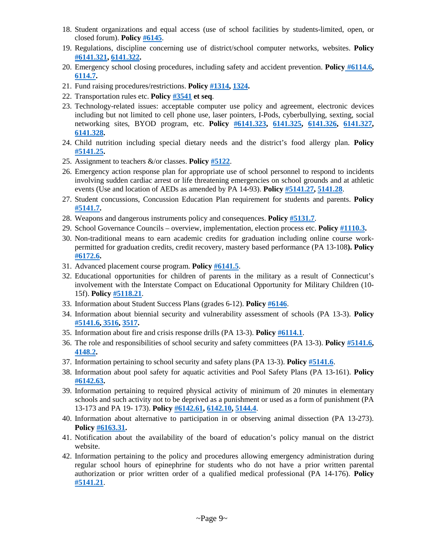- 18. Student organizations and equal access (use of school facilities by students-limited, open, or closed forum). **Policy [#6145](https://www.cabe.org/uploaded/members/Policy/Due_Process/Cps6145.doc?1566570582236)**.
- 19. Regulations, discipline concerning use of district/school computer networks, websites. **Policy [#6141.321,](https://www.cabe.org/uploaded/members/Policy/Due_Process/Cps6141.321.doc?1566570582236) [6141.322.](https://www.cabe.org/uploaded/members/Policy/Due_Process/Cps6141.322.doc?1566570582236)**
- 20. Emergency school closing procedures, including safety and accident prevention. **Policy [#6114.6,](https://www.cabe.org/uploaded/members/Policy/Due_Process/Cps6114.6.doc?1566570582236)  [6114.7.](https://www.cabe.org/uploaded/members/Policy/Due_Process/Cps6114.7.doc?1566570582236)**
- 21. Fund raising procedures/restrictions. **Policy [#1314,](https://www.cabe.org/uploaded/members/Policy/Due_Process/Cps1314.doc?1566570582236) [1324.](https://www.cabe.org/uploaded/members/Policy/Due_Process/Cps1324.doc?1566570582236)**
- 22. Transportation rules etc. **Policy [#3541](https://www.cabe.org/uploaded/members/Policy/Due_Process/Cps3541.doc?1566570582236) et seq**.
- 23. Technology-related issues: acceptable computer use policy and agreement, electronic devices including but not limited to cell phone use, laser pointers, I-Pods, cyberbullying, sexting, social networking sites, BYOD program, etc. **Policy [#6141.323,](https://www.cabe.org/uploaded/members/Policy/Due_Process/Cps6141.323.doc?1566570582236) [6141.325,](https://www.cabe.org/uploaded/members/Policy/Due_Process/Cps6141.325.doc?1566570582236) [6141.326,](https://www.cabe.org/uploaded/members/Policy/Due_Process/Cps6141.326.doc?1566570582236) [6141.327,](https://www.cabe.org/uploaded/members/Policy/Due_Process/Cps6141.327.doc?1566570582236)  [6141.328.](https://www.cabe.org/uploaded/members/Policy/Due_Process/Cps6141.328.doc?1566570582236)**
- 24. Child nutrition including special dietary needs and the district's food allergy plan. **Policy [#5141.25.](https://www.cabe.org/uploaded/members/Policy/Due_Process/Cps5141.25.doc?1566570582236)**
- 25. Assignment to teachers &/or classes. **Policy [#5122](https://www.cabe.org/uploaded/members/Policy/Due_Process/Cps5122.doc?1566570582236)**.
- 26. Emergency action response plan for appropriate use of school personnel to respond to incidents involving sudden cardiac arrest or life threatening emergencies on school grounds and at athletic events (Use and location of AEDs as amended by PA 14-93). **Policy [#5141.27,](https://www.cabe.org/uploaded/members/Policy/Due_Process/Cps5141.27.doc?1566570582236) [5141.28](https://www.cabe.org/uploaded/members/Policy/Due_Process/Cps5141.28doc?1566570582236)**.
- 27. Student concussions, Concussion Education Plan requirement for students and parents. **Policy [#5141.7.](https://www.cabe.org/uploaded/members/Policy/Due_Process/Cps5141.7.doc?1566570582236)**
- 28. Weapons and dangerous instruments policy and consequences. **Policy [#5131.7](https://www.cabe.org/uploaded/members/Policy/Due_Process/Cps5131.7.doc?1566570582236)**.
- 29. School Governance Councils overview, implementation, election process etc. **Policy [#1110.3.](https://www.cabe.org/uploaded/members/Policy/Due_Process/Cps1110.3.doc?1566570582236)**
- 30. Non-traditional means to earn academic credits for graduation including online course workpermitted for graduation credits, credit recovery, mastery based performance (PA 13-108**). Policy [#6172.6.](https://www.cabe.org/uploaded/members/Policy/Due_Process/Cps6172.6.doc?1566570582236)**
- 31. Advanced placement course program. **Policy [#6141.5](https://www.cabe.org/uploaded/members/Policy/Due_Process/Cps6141.5.doc?1566570582236)**.
- 32. Educational opportunities for children of parents in the military as a result of Connecticut's involvement with the Interstate Compact on Educational Opportunity for Military Children (10- 15f). **Policy [#5118.21](https://www.cabe.org/uploaded/members/Policy/Due_Process/Cps5118.21.doc?1566570582236)**.
- 33. Information about Student Success Plans (grades 6-12). **Policy [#6146](https://www.cabe.org/uploaded/members/Policy/Due_Process/Cps6146.doc?1566570582236)**.
- 34. Information about biennial security and vulnerability assessment of schools (PA 13-3). **Policy [#5141.6,](https://www.cabe.org/uploaded/members/Policy/Due_Process/Cps5141.6.doc?1566570582236) [3516,](https://www.cabe.org/uploaded/members/Policy/Due_Process/Cps3516.doc?1566570582236) [3517.](https://www.cabe.org/uploaded/members/Policy/Due_Process/Cps3517.doc?1566570582236)**
- 35. Information about fire and crisis response drills (PA 13-3). **Policy [#6114.1](https://www.cabe.org/uploaded/members/Policy/Due_Process/Cps6114.1.doc?1566570582236)**.
- 36. The role and responsibilities of school security and safety committees (PA 13-3). **Policy [#5141.6,](https://www.cabe.org/uploaded/members/Policy/Due_Process/Cps5141.6.doc?1566570582236)  [4148.2.](https://www.cabe.org/uploaded/members/Policy/Due_Process/Cps4148.2.doc?1566570582236)**
- 37. Information pertaining to school security and safety plans (PA 13-3). **Policy [#5141.6](https://www.cabe.org/uploaded/members/Policy/Due_Process/Cps5141.6.doc?1566570582236)**.
- 38. Information about pool safety for aquatic activities and Pool Safety Plans (PA 13-161). **Policy [#6142.63.](https://www.cabe.org/uploaded/members/Policy/Due_Process/Cps6142.63.doc?1566570582236)**
- 39. Information pertaining to required physical activity of minimum of 20 minutes in elementary schools and such activity not to be deprived as a punishment or used as a form of punishment (PA 13-173 and PA 19- 173). **Policy [#6142.61,](https://www.cabe.org/uploaded/members/Policy/Due_Process/Cps6142.61.doc?1566570582236) [6142.10,](https://www.cabe.org/uploaded/members/Policy/Due_Process/Cps6142.10.doc?1566570582236) [5144.4](https://www.cabe.org/uploaded/members/Policy/Due_Process/Cps5144.4.doc?1566570582236)**.
- 40. Information about alternative to participation in or observing animal dissection (PA 13-273). **Policy [#6163.31.](https://www.cabe.org/uploaded/members/Policy/Due_Process/Cps6163.31.doc?1566570582236)**
- 41. Notification about the availability of the board of education's policy manual on the district website.
- 42. Information pertaining to the policy and procedures allowing emergency administration during regular school hours of epinephrine for students who do not have a prior written parental authorization or prior written order of a qualified medical professional (PA 14-176). **Policy [#5141.21](https://www.cabe.org/uploaded/members/Policy/Due_Process/Cps5141.21.doc?1566570582236)**.